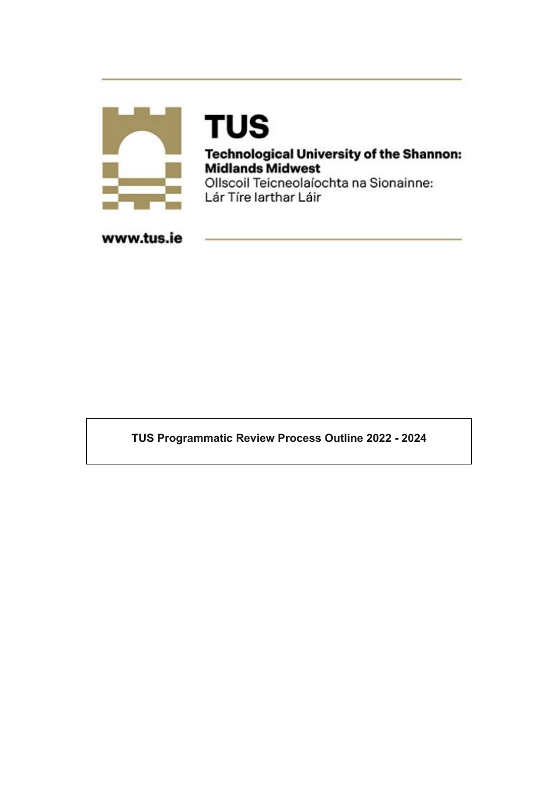

# **TUS**

**Technological University of the Shannon: Midlands Midwest** Ollscoil Teicneolaíochta na Sionainne:

Lár Tíre Iarthar Láir

www.tus.ie

TUS Programmatic Review Process Outline 2022 - 2024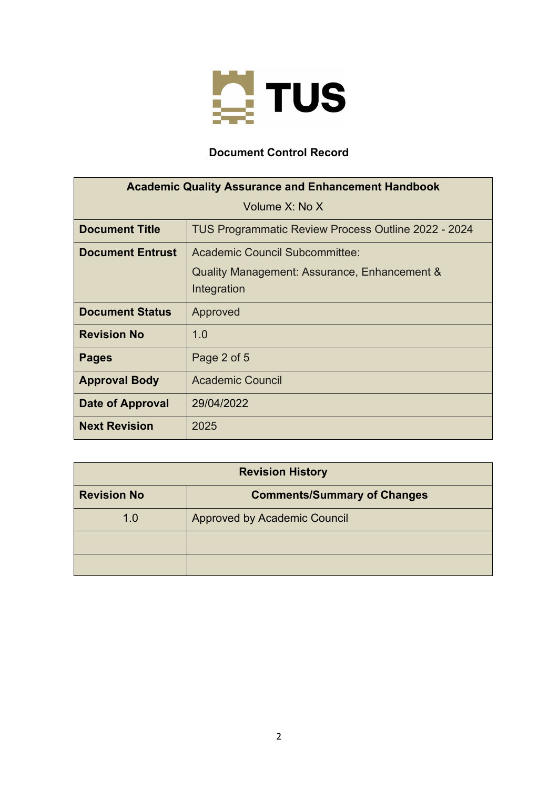

# **Document Control Record**

| <b>Academic Quality Assurance and Enhancement Handbook</b> |                                                             |
|------------------------------------------------------------|-------------------------------------------------------------|
| Volume X: No X                                             |                                                             |
| <b>Document Title</b>                                      | TUS Programmatic Review Process Outline 2022 - 2024         |
| <b>Document Entrust</b>                                    | Academic Council Subcommittee:                              |
|                                                            | Quality Management: Assurance, Enhancement &<br>Integration |
| <b>Document Status</b>                                     | Approved                                                    |
| <b>Revision No</b>                                         | 1.0                                                         |
| <b>Pages</b>                                               | Page 2 of 5                                                 |
| <b>Approval Body</b>                                       | <b>Academic Council</b>                                     |
| Date of Approval                                           | 29/04/2022                                                  |
| <b>Next Revision</b>                                       | 2025                                                        |

| <b>Revision History</b> |                                     |
|-------------------------|-------------------------------------|
| <b>Revision No</b>      | <b>Comments/Summary of Changes</b>  |
| 1.0                     | <b>Approved by Academic Council</b> |
|                         |                                     |
|                         |                                     |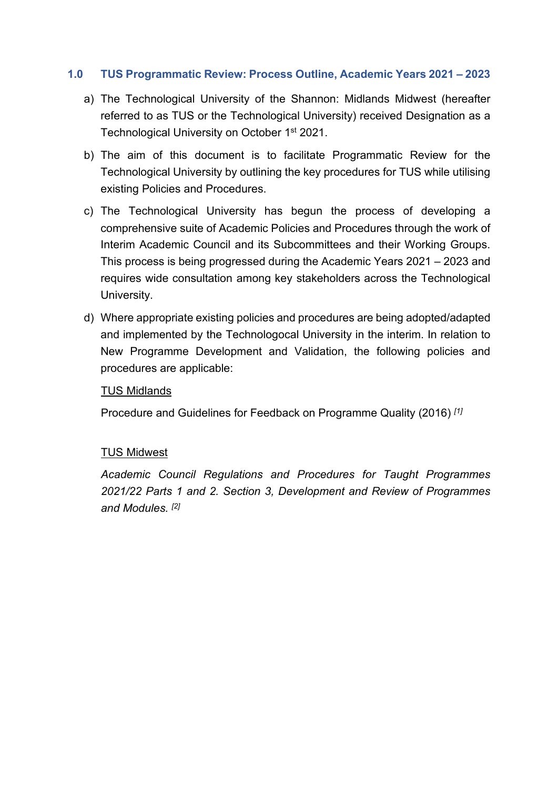## **1.0 TUS Programmatic Review: Process Outline, Academic Years 2021 – 2023**

- a) The Technological University of the Shannon: Midlands Midwest (hereafter referred to as TUS or the Technological University) received Designation as a Technological University on October 1<sup>st</sup> 2021.
- b) The aim of this document is to facilitate Programmatic Review for the Technological University by outlining the key procedures for TUS while utilising existing Policies and Procedures.
- c) The Technological University has begun the process of developing a comprehensive suite of Academic Policies and Procedures through the work of Interim Academic Council and its Subcommittees and their Working Groups. This process is being progressed during the Academic Years 2021 – 2023 and requires wide consultation among key stakeholders across the Technological University.
- d) Where appropriate existing policies and procedures are being adopted/adapted and implemented by the Technologocal University in the interim. In relation to New Programme Development and Validation, the following policies and procedures are applicable:

#### TUS Midlands

Procedure and Guidelines for Feedback on Programme Quality (2016) *[1]*

# TUS Midwest

*Academic Council Regulations and Procedures for Taught Programmes 2021/22 Parts 1 and 2. Section 3, Development and Review of Programmes and Modules. [2]*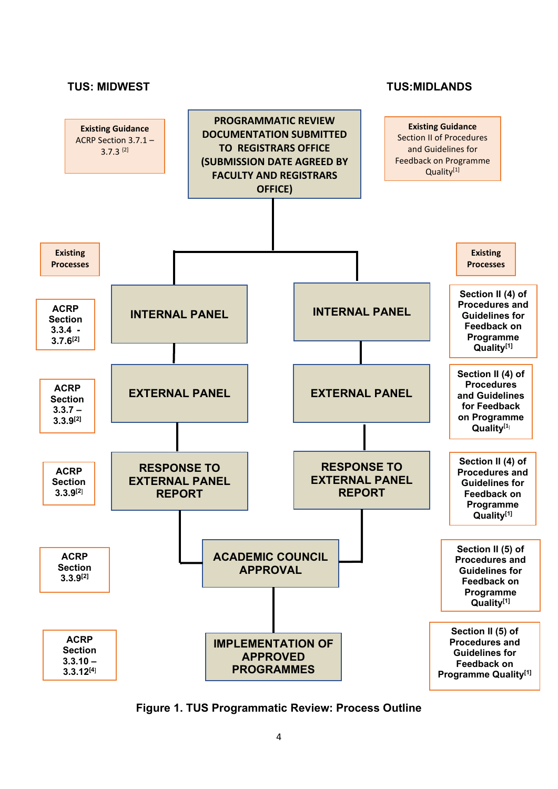

**Figure 1. TUS Programmatic Review: Process Outline**